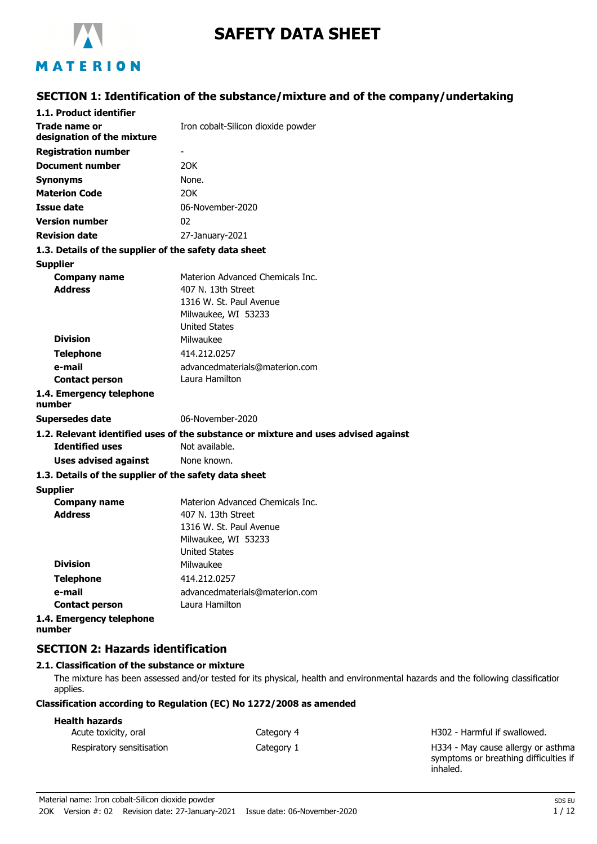

# **SAFETY DATA SHEET**

## MATERION

## **SECTION 1: Identification of the substance/mixture and of the company/undertaking**

| 1.1. Product identifier                               |                                                                                    |
|-------------------------------------------------------|------------------------------------------------------------------------------------|
| Trade name or<br>designation of the mixture           | Iron cobalt-Silicon dioxide powder                                                 |
| <b>Registration number</b>                            | $\overline{\phantom{a}}$                                                           |
| <b>Document number</b>                                | 20K                                                                                |
| <b>Synonyms</b>                                       | None.                                                                              |
| <b>Materion Code</b>                                  | 20K                                                                                |
| Issue date                                            | 06-November-2020                                                                   |
| <b>Version number</b>                                 | 02                                                                                 |
| <b>Revision date</b>                                  | 27-January-2021                                                                    |
| 1.3. Details of the supplier of the safety data sheet |                                                                                    |
| <b>Supplier</b>                                       |                                                                                    |
| <b>Company name</b>                                   | Materion Advanced Chemicals Inc.                                                   |
| <b>Address</b>                                        | 407 N. 13th Street                                                                 |
|                                                       | 1316 W. St. Paul Avenue                                                            |
|                                                       | Milwaukee, WI 53233                                                                |
|                                                       | United States                                                                      |
| <b>Division</b>                                       | Milwaukee                                                                          |
| <b>Telephone</b>                                      | 414.212.0257                                                                       |
| e-mail                                                | advancedmaterials@materion.com<br>Laura Hamilton                                   |
| <b>Contact person</b>                                 |                                                                                    |
| 1.4. Emergency telephone<br>number                    |                                                                                    |
| <b>Supersedes date</b>                                | 06-November-2020                                                                   |
|                                                       | 1.2. Relevant identified uses of the substance or mixture and uses advised against |
| <b>Identified uses</b>                                | Not available.                                                                     |
| <b>Uses advised against</b>                           | None known.                                                                        |
| 1.3. Details of the supplier of the safety data sheet |                                                                                    |
| <b>Supplier</b>                                       |                                                                                    |
| <b>Company name</b>                                   | Materion Advanced Chemicals Inc.                                                   |
| <b>Address</b>                                        | 407 N. 13th Street                                                                 |
|                                                       | 1316 W. St. Paul Avenue                                                            |
|                                                       | Milwaukee, WI 53233<br><b>United States</b>                                        |
| <b>Division</b>                                       | Milwaukee                                                                          |
| <b>Telephone</b>                                      | 414.212.0257                                                                       |
| e-mail                                                | advancedmaterials@materion.com                                                     |
| <b>Contact person</b>                                 | Laura Hamilton                                                                     |
| 1.4. Emergency telephone                              |                                                                                    |
| number                                                |                                                                                    |

## **SECTION 2: Hazards identification**

#### **2.1. Classification of the substance or mixture**

The mixture has been assessed and/or tested for its physical, health and environmental hazards and the following classification applies.

## **Classification according to Regulation (EC) No 1272/2008 as amended**

## **Health hazards**

| Acute toxicity, oral      | Category 4 | H302 - Harmful if swallowed.          |
|---------------------------|------------|---------------------------------------|
| Respiratory sensitisation | Category 1 | H334 - May cause allergy or asthma    |
|                           |            | symptoms or breathing difficulties if |

inhaled.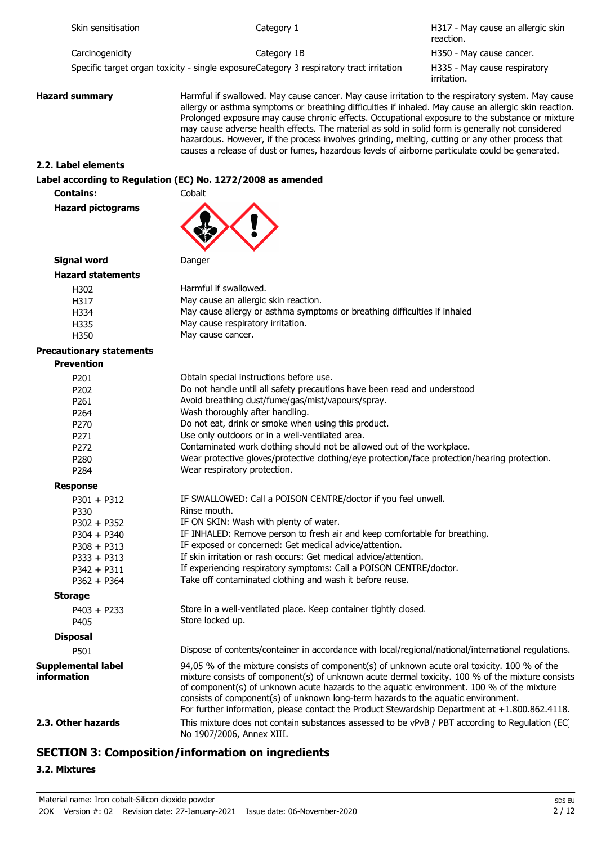H317 - May cause an allergic skin reaction. Carcinogenicity Category 1B Category 1B H350 - May cause cancer.

Specific target organ toxicity - single exposureCategory 3 respiratory tract irritation

H335 - May cause respiratory irritation.

**Hazard summary Harmful if swallowed. May cause cancer. May cause irritation to the respiratory system. May cause** allergy or asthma symptoms or breathing difficulties if inhaled. May cause an allergic skin reaction. Prolonged exposure may cause chronic effects. Occupational exposure to the substance or mixture may cause adverse health effects. The material as sold in solid form is generally not considered hazardous. However, if the process involves grinding, melting, cutting or any other process that causes a release of dust or fumes, hazardous levels of airborne particulate could be generated.

#### **2.2. Label elements**

#### **Label according to Regulation (EC) No. 1272/2008 as amended**

**Contains:** Cobalt

**Hazard pictograms**



#### **Signal word** Danger

| <b>Hazard statements</b> |
|--------------------------|
|                          |

| H302 | Harmful if swallowed.                                                      |
|------|----------------------------------------------------------------------------|
| H317 | May cause an allergic skin reaction.                                       |
| H334 | May cause allergy or asthma symptoms or breathing difficulties if inhaled. |
| H335 | May cause respiratory irritation.                                          |
| H350 | May cause cancer.                                                          |

#### **Precautionary statements**

| <b>Prevention</b>                               |                                                                                                                                                                                                                                                                                                                                                                                                                                                                                      |
|-------------------------------------------------|--------------------------------------------------------------------------------------------------------------------------------------------------------------------------------------------------------------------------------------------------------------------------------------------------------------------------------------------------------------------------------------------------------------------------------------------------------------------------------------|
| P201                                            | Obtain special instructions before use.                                                                                                                                                                                                                                                                                                                                                                                                                                              |
| P202                                            | Do not handle until all safety precautions have been read and understood.                                                                                                                                                                                                                                                                                                                                                                                                            |
| P <sub>261</sub>                                | Avoid breathing dust/fume/gas/mist/vapours/spray.                                                                                                                                                                                                                                                                                                                                                                                                                                    |
| P264                                            | Wash thoroughly after handling.                                                                                                                                                                                                                                                                                                                                                                                                                                                      |
| P270                                            | Do not eat, drink or smoke when using this product.                                                                                                                                                                                                                                                                                                                                                                                                                                  |
| P271                                            | Use only outdoors or in a well-ventilated area.                                                                                                                                                                                                                                                                                                                                                                                                                                      |
| P272                                            | Contaminated work clothing should not be allowed out of the workplace.                                                                                                                                                                                                                                                                                                                                                                                                               |
| P280                                            | Wear protective gloves/protective clothing/eye protection/face protection/hearing protection.                                                                                                                                                                                                                                                                                                                                                                                        |
| P284                                            | Wear respiratory protection.                                                                                                                                                                                                                                                                                                                                                                                                                                                         |
| <b>Response</b>                                 |                                                                                                                                                                                                                                                                                                                                                                                                                                                                                      |
| $P301 + P312$                                   | IF SWALLOWED: Call a POISON CENTRE/doctor if you feel unwell.                                                                                                                                                                                                                                                                                                                                                                                                                        |
| P330                                            | Rinse mouth.                                                                                                                                                                                                                                                                                                                                                                                                                                                                         |
| $P302 + P352$                                   | IF ON SKIN: Wash with plenty of water.                                                                                                                                                                                                                                                                                                                                                                                                                                               |
| $P304 + P340$                                   | IF INHALED: Remove person to fresh air and keep comfortable for breathing.                                                                                                                                                                                                                                                                                                                                                                                                           |
| $P308 + P313$                                   | IF exposed or concerned: Get medical advice/attention.                                                                                                                                                                                                                                                                                                                                                                                                                               |
| $P333 + P313$                                   | If skin irritation or rash occurs: Get medical advice/attention.                                                                                                                                                                                                                                                                                                                                                                                                                     |
| $P342 + P311$                                   | If experiencing respiratory symptoms: Call a POISON CENTRE/doctor.                                                                                                                                                                                                                                                                                                                                                                                                                   |
| $P362 + P364$                                   | Take off contaminated clothing and wash it before reuse.                                                                                                                                                                                                                                                                                                                                                                                                                             |
| <b>Storage</b>                                  |                                                                                                                                                                                                                                                                                                                                                                                                                                                                                      |
| $P403 + P233$                                   | Store in a well-ventilated place. Keep container tightly closed.                                                                                                                                                                                                                                                                                                                                                                                                                     |
| P405                                            | Store locked up.                                                                                                                                                                                                                                                                                                                                                                                                                                                                     |
| <b>Disposal</b>                                 |                                                                                                                                                                                                                                                                                                                                                                                                                                                                                      |
| P501                                            | Dispose of contents/container in accordance with local/regional/national/international regulations.                                                                                                                                                                                                                                                                                                                                                                                  |
| <b>Supplemental label</b><br><b>information</b> | 94,05 % of the mixture consists of component(s) of unknown acute oral toxicity. 100 % of the<br>mixture consists of component(s) of unknown acute dermal toxicity. 100 % of the mixture consists<br>of component(s) of unknown acute hazards to the aquatic environment. 100 % of the mixture<br>consists of component(s) of unknown long-term hazards to the aquatic environment.<br>For further information, please contact the Product Stewardship Department at +1.800.862.4118. |
| 2.3. Other hazards                              | This mixture does not contain substances assessed to be vPvB / PBT according to Regulation (EC)<br>No 1907/2006, Annex XIII.                                                                                                                                                                                                                                                                                                                                                         |

## **SECTION 3: Composition/information on ingredients**

#### **3.2. Mixtures**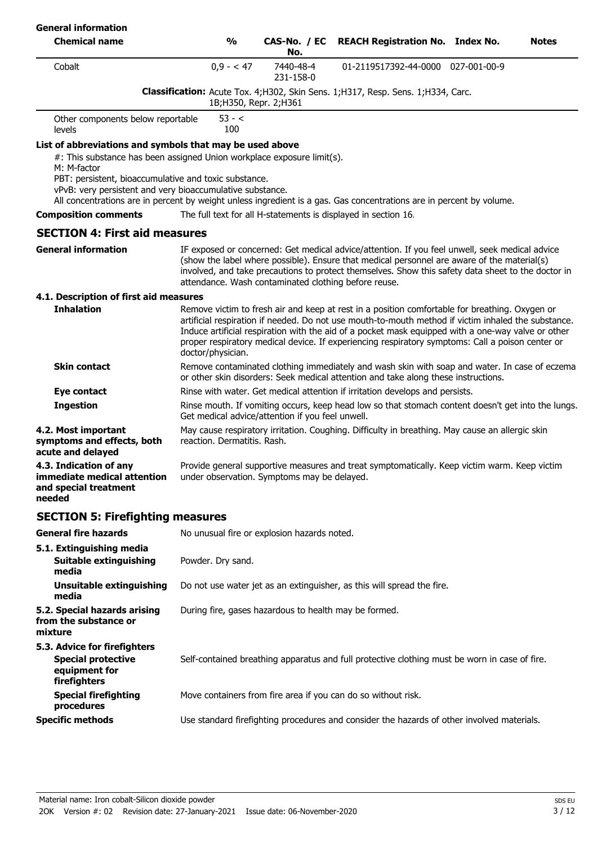| <b>General information</b>                                                                                                                                                                                                                                                                                                                                                                      |                                                       |                        |                                                                                                                                                                                                                                                                                                                                                                                                                 |              |
|-------------------------------------------------------------------------------------------------------------------------------------------------------------------------------------------------------------------------------------------------------------------------------------------------------------------------------------------------------------------------------------------------|-------------------------------------------------------|------------------------|-----------------------------------------------------------------------------------------------------------------------------------------------------------------------------------------------------------------------------------------------------------------------------------------------------------------------------------------------------------------------------------------------------------------|--------------|
| <b>Chemical name</b>                                                                                                                                                                                                                                                                                                                                                                            | $\frac{0}{0}$                                         | CAS-No. / EC<br>No.    | <b>REACH Registration No. Index No.</b>                                                                                                                                                                                                                                                                                                                                                                         | <b>Notes</b> |
| Cobalt                                                                                                                                                                                                                                                                                                                                                                                          | $0,9 - 47$                                            | 7440-48-4<br>231-158-0 | 01-2119517392-44-0000 027-001-00-9                                                                                                                                                                                                                                                                                                                                                                              |              |
|                                                                                                                                                                                                                                                                                                                                                                                                 |                                                       | 1B;H350, Repr. 2;H361  | Classification: Acute Tox. 4;H302, Skin Sens. 1;H317, Resp. Sens. 1;H334, Carc.                                                                                                                                                                                                                                                                                                                                 |              |
| Other components below reportable<br>levels                                                                                                                                                                                                                                                                                                                                                     | $53 - c$<br>100                                       |                        |                                                                                                                                                                                                                                                                                                                                                                                                                 |              |
| List of abbreviations and symbols that may be used above<br>#: This substance has been assigned Union workplace exposure limit(s).<br>M: M-factor<br>PBT: persistent, bioaccumulative and toxic substance.<br>vPvB: very persistent and very bioaccumulative substance.<br>All concentrations are in percent by weight unless ingredient is a gas. Gas concentrations are in percent by volume. |                                                       |                        |                                                                                                                                                                                                                                                                                                                                                                                                                 |              |
| <b>Composition comments</b>                                                                                                                                                                                                                                                                                                                                                                     |                                                       |                        | The full text for all H-statements is displayed in section 16.                                                                                                                                                                                                                                                                                                                                                  |              |
| <b>SECTION 4: First aid measures</b>                                                                                                                                                                                                                                                                                                                                                            |                                                       |                        |                                                                                                                                                                                                                                                                                                                                                                                                                 |              |
| <b>General information</b>                                                                                                                                                                                                                                                                                                                                                                      | attendance. Wash contaminated clothing before reuse.  |                        | IF exposed or concerned: Get medical advice/attention. If you feel unwell, seek medical advice<br>(show the label where possible). Ensure that medical personnel are aware of the material(s)<br>involved, and take precautions to protect themselves. Show this safety data sheet to the doctor in                                                                                                             |              |
| 4.1. Description of first aid measures                                                                                                                                                                                                                                                                                                                                                          |                                                       |                        |                                                                                                                                                                                                                                                                                                                                                                                                                 |              |
| <b>Inhalation</b>                                                                                                                                                                                                                                                                                                                                                                               | doctor/physician.                                     |                        | Remove victim to fresh air and keep at rest in a position comfortable for breathing. Oxygen or<br>artificial respiration if needed. Do not use mouth-to-mouth method if victim inhaled the substance.<br>Induce artificial respiration with the aid of a pocket mask equipped with a one-way valve or other<br>proper respiratory medical device. If experiencing respiratory symptoms: Call a poison center or |              |
| <b>Skin contact</b>                                                                                                                                                                                                                                                                                                                                                                             |                                                       |                        | Remove contaminated clothing immediately and wash skin with soap and water. In case of eczema<br>or other skin disorders: Seek medical attention and take along these instructions.                                                                                                                                                                                                                             |              |
| Eye contact                                                                                                                                                                                                                                                                                                                                                                                     |                                                       |                        | Rinse with water. Get medical attention if irritation develops and persists.                                                                                                                                                                                                                                                                                                                                    |              |
| <b>Ingestion</b>                                                                                                                                                                                                                                                                                                                                                                                | Get medical advice/attention if you feel unwell.      |                        | Rinse mouth. If vomiting occurs, keep head low so that stomach content doesn't get into the lungs.                                                                                                                                                                                                                                                                                                              |              |
| 4.2. Most important<br>symptoms and effects, both<br>acute and delayed                                                                                                                                                                                                                                                                                                                          | reaction. Dermatitis. Rash.                           |                        | May cause respiratory irritation. Coughing. Difficulty in breathing. May cause an allergic skin                                                                                                                                                                                                                                                                                                                 |              |
| 4.3. Indication of any<br>immediate medical attention<br>and special treatment<br>needed                                                                                                                                                                                                                                                                                                        | under observation. Symptoms may be delayed.           |                        | Provide general supportive measures and treat symptomatically. Keep victim warm. Keep victim                                                                                                                                                                                                                                                                                                                    |              |
| <b>SECTION 5: Firefighting measures</b>                                                                                                                                                                                                                                                                                                                                                         |                                                       |                        |                                                                                                                                                                                                                                                                                                                                                                                                                 |              |
| <b>General fire hazards</b>                                                                                                                                                                                                                                                                                                                                                                     | No unusual fire or explosion hazards noted.           |                        |                                                                                                                                                                                                                                                                                                                                                                                                                 |              |
| 5.1. Extinguishing media<br>Suitable extinguishing<br>media                                                                                                                                                                                                                                                                                                                                     | Powder. Dry sand.                                     |                        |                                                                                                                                                                                                                                                                                                                                                                                                                 |              |
| <b>Unsuitable extinguishing</b><br>media                                                                                                                                                                                                                                                                                                                                                        |                                                       |                        | Do not use water jet as an extinguisher, as this will spread the fire.                                                                                                                                                                                                                                                                                                                                          |              |
| 5.2. Special hazards arising<br>from the substance or<br>mixture                                                                                                                                                                                                                                                                                                                                | During fire, gases hazardous to health may be formed. |                        |                                                                                                                                                                                                                                                                                                                                                                                                                 |              |
| 5.3. Advice for firefighters<br><b>Special protective</b><br>equipment for<br>firefighters                                                                                                                                                                                                                                                                                                      |                                                       |                        | Self-contained breathing apparatus and full protective clothing must be worn in case of fire.                                                                                                                                                                                                                                                                                                                   |              |
| <b>Special firefighting</b><br>procedures                                                                                                                                                                                                                                                                                                                                                       |                                                       |                        | Move containers from fire area if you can do so without risk.                                                                                                                                                                                                                                                                                                                                                   |              |
| <b>Specific methods</b>                                                                                                                                                                                                                                                                                                                                                                         |                                                       |                        | Use standard firefighting procedures and consider the hazards of other involved materials.                                                                                                                                                                                                                                                                                                                      |              |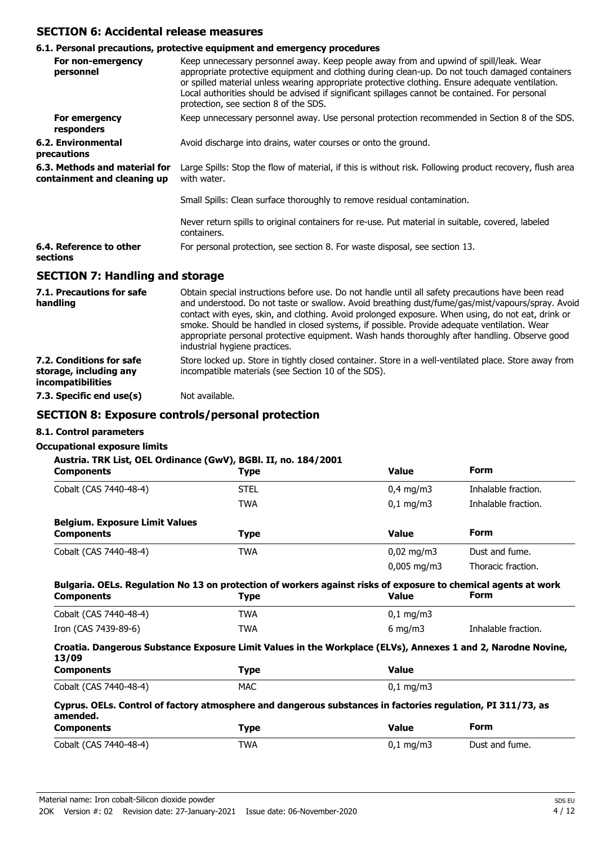## **SECTION 6: Accidental release measures**

#### **6.1. Personal precautions, protective equipment and emergency procedures**

| For non-emergency<br>personnel                               | Keep unnecessary personnel away. Keep people away from and upwind of spill/leak. Wear<br>appropriate protective equipment and clothing during clean-up. Do not touch damaged containers<br>or spilled material unless wearing appropriate protective clothing. Ensure adequate ventilation.<br>Local authorities should be advised if significant spillages cannot be contained. For personal<br>protection, see section 8 of the SDS. |
|--------------------------------------------------------------|----------------------------------------------------------------------------------------------------------------------------------------------------------------------------------------------------------------------------------------------------------------------------------------------------------------------------------------------------------------------------------------------------------------------------------------|
| For emergency<br>responders                                  | Keep unnecessary personnel away. Use personal protection recommended in Section 8 of the SDS.                                                                                                                                                                                                                                                                                                                                          |
| 6.2. Environmental<br>precautions                            | Avoid discharge into drains, water courses or onto the ground.                                                                                                                                                                                                                                                                                                                                                                         |
| 6.3. Methods and material for<br>containment and cleaning up | Large Spills: Stop the flow of material, if this is without risk. Following product recovery, flush area<br>with water.                                                                                                                                                                                                                                                                                                                |
|                                                              | Small Spills: Clean surface thoroughly to remove residual contamination.                                                                                                                                                                                                                                                                                                                                                               |
|                                                              | Never return spills to original containers for re-use. Put material in suitable, covered, labeled<br>containers.                                                                                                                                                                                                                                                                                                                       |
| 6.4. Reference to other<br>sections                          | For personal protection, see section 8. For waste disposal, see section 13.                                                                                                                                                                                                                                                                                                                                                            |
| <b>SECTION 7: Handling and storage</b>                       |                                                                                                                                                                                                                                                                                                                                                                                                                                        |

| 7.1. Precautions for safe<br>handling                                   | Obtain special instructions before use. Do not handle until all safety precautions have been read<br>and understood. Do not taste or swallow. Avoid breathing dust/fume/gas/mist/vapours/spray. Avoid<br>contact with eyes, skin, and clothing. Avoid prolonged exposure. When using, do not eat, drink or<br>smoke. Should be handled in closed systems, if possible. Provide adequate ventilation. Wear<br>appropriate personal protective equipment. Wash hands thoroughly after handling. Observe good<br>industrial hygiene practices. |
|-------------------------------------------------------------------------|---------------------------------------------------------------------------------------------------------------------------------------------------------------------------------------------------------------------------------------------------------------------------------------------------------------------------------------------------------------------------------------------------------------------------------------------------------------------------------------------------------------------------------------------|
| 7.2. Conditions for safe<br>storage, including any<br>incompatibilities | Store locked up. Store in tightly closed container. Store in a well-ventilated place. Store away from<br>incompatible materials (see Section 10 of the SDS).                                                                                                                                                                                                                                                                                                                                                                                |
| 7.3. Specific end use(s)                                                | Not available.                                                                                                                                                                                                                                                                                                                                                                                                                                                                                                                              |

## **SECTION 8: Exposure controls/personal protection**

#### **8.1. Control parameters**

## **Occupational exposure limits**

| <b>Components</b>                                                                                                       | Austria. TRK List, OEL Ordinance (GwV), BGBI. II, no. 184/2001<br><b>Type</b> | <b>Value</b>                                                                                                 | <b>Form</b>         |
|-------------------------------------------------------------------------------------------------------------------------|-------------------------------------------------------------------------------|--------------------------------------------------------------------------------------------------------------|---------------------|
| Cobalt (CAS 7440-48-4)                                                                                                  | <b>STEL</b>                                                                   | $0,4$ mg/m3                                                                                                  | Inhalable fraction. |
|                                                                                                                         | <b>TWA</b>                                                                    | $0,1$ mg/m3                                                                                                  | Inhalable fraction. |
| <b>Belgium. Exposure Limit Values</b>                                                                                   |                                                                               |                                                                                                              |                     |
| <b>Components</b>                                                                                                       | <b>Type</b>                                                                   | <b>Value</b>                                                                                                 | <b>Form</b>         |
| Cobalt (CAS 7440-48-4)                                                                                                  | <b>TWA</b>                                                                    | $0,02 \,\mathrm{mg/m3}$                                                                                      | Dust and fume.      |
|                                                                                                                         |                                                                               | $0,005$ mg/m3                                                                                                | Thoracic fraction.  |
| <b>Components</b><br>Cobalt (CAS 7440-48-4)                                                                             | <b>Type</b><br><b>TWA</b>                                                     | <b>Value</b><br>$0,1 \, \text{mg/m}$                                                                         | Form                |
|                                                                                                                         |                                                                               |                                                                                                              |                     |
| Iron (CAS 7439-89-6)                                                                                                    | <b>TWA</b>                                                                    | 6 mg/m $3$                                                                                                   | Inhalable fraction. |
|                                                                                                                         |                                                                               | Croatia. Dangerous Substance Exposure Limit Values in the Workplace (ELVs), Annexes 1 and 2, Narodne Novine, |                     |
|                                                                                                                         |                                                                               |                                                                                                              |                     |
| 13/09<br><b>Components</b>                                                                                              | <b>Type</b>                                                                   | <b>Value</b>                                                                                                 |                     |
| Cobalt (CAS 7440-48-4)                                                                                                  | <b>MAC</b>                                                                    | $0,1$ mg/m3                                                                                                  |                     |
| Cyprus. OELs. Control of factory atmosphere and dangerous substances in factories regulation, PI 311/73, as<br>amended. |                                                                               |                                                                                                              |                     |

| <u>_______</u> _____   | - , , | ------                |                |
|------------------------|-------|-----------------------|----------------|
| Cobalt (CAS 7440-48-4) | TWA   | $0,1 \,\mathrm{mg/m}$ | Dust and fume. |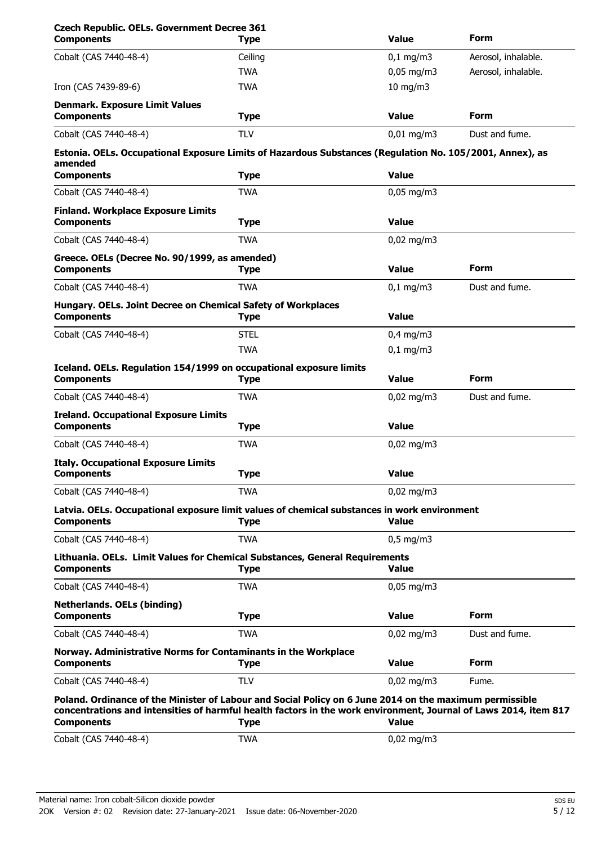| <b>Czech Republic. OELs. Government Decree 361</b><br><b>Components</b>                                                                                                                                                                          | <b>Type</b> | <b>Value</b>          | Form                |
|--------------------------------------------------------------------------------------------------------------------------------------------------------------------------------------------------------------------------------------------------|-------------|-----------------------|---------------------|
| Cobalt (CAS 7440-48-4)                                                                                                                                                                                                                           | Ceiling     | $0,1$ mg/m $3$        | Aerosol, inhalable. |
|                                                                                                                                                                                                                                                  | <b>TWA</b>  | $0,05$ mg/m3          | Aerosol, inhalable. |
| Iron (CAS 7439-89-6)                                                                                                                                                                                                                             | <b>TWA</b>  | $10$ mg/m $3$         |                     |
| <b>Denmark. Exposure Limit Values</b><br><b>Components</b>                                                                                                                                                                                       | <b>Type</b> | <b>Value</b>          | Form                |
| Cobalt (CAS 7440-48-4)                                                                                                                                                                                                                           | <b>TLV</b>  | $0,01$ mg/m3          | Dust and fume.      |
| Estonia. OELs. Occupational Exposure Limits of Hazardous Substances (Regulation No. 105/2001, Annex), as<br>amended                                                                                                                              |             |                       |                     |
| <b>Components</b>                                                                                                                                                                                                                                | <b>Type</b> | <b>Value</b>          |                     |
| Cobalt (CAS 7440-48-4)                                                                                                                                                                                                                           | <b>TWA</b>  | $0,05$ mg/m3          |                     |
| <b>Finland. Workplace Exposure Limits</b><br><b>Components</b>                                                                                                                                                                                   | Type        | <b>Value</b>          |                     |
| Cobalt (CAS 7440-48-4)                                                                                                                                                                                                                           | <b>TWA</b>  | $0,02$ mg/m3          |                     |
| Greece. OELs (Decree No. 90/1999, as amended)<br><b>Components</b>                                                                                                                                                                               | <b>Type</b> | <b>Value</b>          | <b>Form</b>         |
| Cobalt (CAS 7440-48-4)                                                                                                                                                                                                                           | <b>TWA</b>  | $0,1$ mg/m3           | Dust and fume.      |
| Hungary. OELs. Joint Decree on Chemical Safety of Workplaces<br><b>Components</b>                                                                                                                                                                | <b>Type</b> | <b>Value</b>          |                     |
| Cobalt (CAS 7440-48-4)                                                                                                                                                                                                                           | <b>STEL</b> | $0.4$ mg/m3           |                     |
|                                                                                                                                                                                                                                                  | <b>TWA</b>  | $0,1$ mg/m3           |                     |
| Iceland. OELs. Regulation 154/1999 on occupational exposure limits<br><b>Components</b>                                                                                                                                                          | Type        | <b>Value</b>          | Form                |
| Cobalt (CAS 7440-48-4)                                                                                                                                                                                                                           | <b>TWA</b>  | $0,02$ mg/m3          | Dust and fume.      |
| <b>Ireland. Occupational Exposure Limits</b><br><b>Components</b>                                                                                                                                                                                | Type        | <b>Value</b>          |                     |
| Cobalt (CAS 7440-48-4)                                                                                                                                                                                                                           | <b>TWA</b>  | $0,02$ mg/m3          |                     |
| <b>Italy. Occupational Exposure Limits</b><br><b>Components</b>                                                                                                                                                                                  | <b>Type</b> | <b>Value</b>          |                     |
| Cobalt (CAS 7440-48-4)                                                                                                                                                                                                                           | <b>TWA</b>  | $0,02$ mg/m3          |                     |
| Latvia. OELs. Occupational exposure limit values of chemical substances in work environment<br><b>Components</b>                                                                                                                                 | <b>Type</b> | <b>Value</b>          |                     |
| Cobalt (CAS 7440-48-4)                                                                                                                                                                                                                           | <b>TWA</b>  | $0,5$ mg/m3           |                     |
| Lithuania. OELs. Limit Values for Chemical Substances, General Requirements<br><b>Components</b>                                                                                                                                                 | <b>Type</b> | <b>Value</b>          |                     |
| Cobalt (CAS 7440-48-4)                                                                                                                                                                                                                           | <b>TWA</b>  | $0,05$ mg/m3          |                     |
| <b>Netherlands. OELs (binding)</b><br><b>Components</b>                                                                                                                                                                                          | <b>Type</b> | <b>Value</b>          | <b>Form</b>         |
| Cobalt (CAS 7440-48-4)                                                                                                                                                                                                                           | <b>TWA</b>  | $0,02 \text{ mg/m}$ 3 | Dust and fume.      |
| Norway. Administrative Norms for Contaminants in the Workplace<br><b>Components</b>                                                                                                                                                              | <b>Type</b> | <b>Value</b>          | <b>Form</b>         |
| Cobalt (CAS 7440-48-4)                                                                                                                                                                                                                           | <b>TLV</b>  | $0,02$ mg/m3          | Fume.               |
| Poland. Ordinance of the Minister of Labour and Social Policy on 6 June 2014 on the maximum permissible<br>concentrations and intensities of harmful health factors in the work environment, Journal of Laws 2014, item 817<br><b>Components</b> | Type        | <b>Value</b>          |                     |
| Cobalt (CAS 7440-48-4)                                                                                                                                                                                                                           | <b>TWA</b>  | $0,02$ mg/m3          |                     |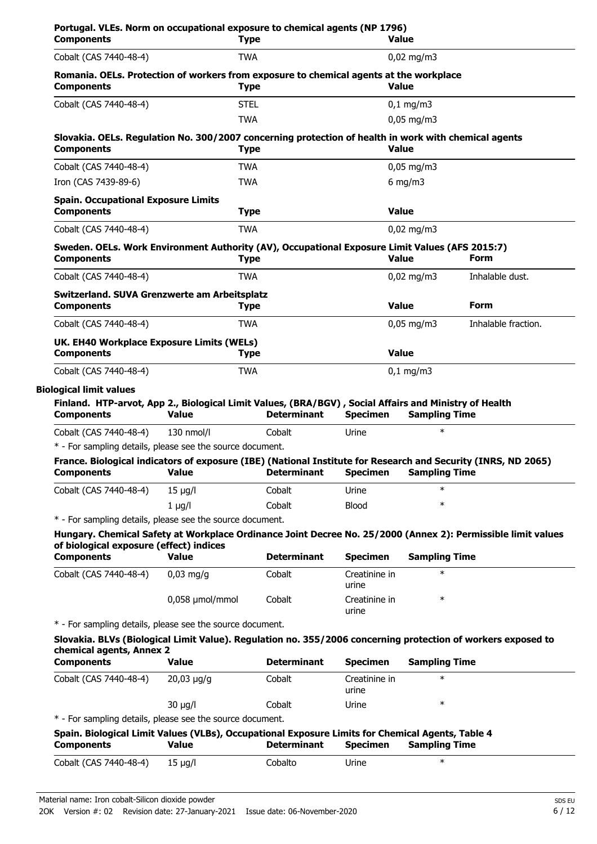| <b>Components</b>                                                                                                                                            |                             | <b>Type</b>                  |                                  | <b>Value</b>                   |                                                                                                                                                                                                                              |
|--------------------------------------------------------------------------------------------------------------------------------------------------------------|-----------------------------|------------------------------|----------------------------------|--------------------------------|------------------------------------------------------------------------------------------------------------------------------------------------------------------------------------------------------------------------------|
| Cobalt (CAS 7440-48-4)                                                                                                                                       |                             | <b>TWA</b>                   |                                  | $0,02 \text{ mg/m}$ 3          |                                                                                                                                                                                                                              |
| Romania. OELs. Protection of workers from exposure to chemical agents at the workplace<br><b>Components</b>                                                  |                             | <b>Type</b>                  |                                  | <b>Value</b>                   |                                                                                                                                                                                                                              |
| Cobalt (CAS 7440-48-4)                                                                                                                                       |                             | <b>STEL</b>                  |                                  | $0,1$ mg/m3                    |                                                                                                                                                                                                                              |
|                                                                                                                                                              |                             | <b>TWA</b>                   |                                  | $0,05$ mg/m3                   |                                                                                                                                                                                                                              |
| Slovakia. OELs. Regulation No. 300/2007 concerning protection of health in work with chemical agents<br><b>Components</b>                                    |                             | <b>Type</b>                  |                                  | <b>Value</b>                   |                                                                                                                                                                                                                              |
| Cobalt (CAS 7440-48-4)                                                                                                                                       |                             | <b>TWA</b>                   |                                  | $0,05$ mg/m3                   |                                                                                                                                                                                                                              |
| Iron (CAS 7439-89-6)                                                                                                                                         |                             | <b>TWA</b>                   |                                  | 6 mg/m $3$                     |                                                                                                                                                                                                                              |
| <b>Spain. Occupational Exposure Limits</b><br><b>Components</b>                                                                                              |                             | <b>Type</b>                  |                                  | <b>Value</b>                   |                                                                                                                                                                                                                              |
| Cobalt (CAS 7440-48-4)                                                                                                                                       |                             | <b>TWA</b>                   |                                  | $0.02 \text{ mg/m}$ 3          |                                                                                                                                                                                                                              |
| Sweden. OELs. Work Environment Authority (AV), Occupational Exposure Limit Values (AFS 2015:7)<br><b>Components</b>                                          |                             | <b>Type</b>                  |                                  | <b>Value</b>                   | <b>Form</b>                                                                                                                                                                                                                  |
| Cobalt (CAS 7440-48-4)                                                                                                                                       |                             | <b>TWA</b>                   |                                  | $0,02$ mg/m3                   | Inhalable dust.                                                                                                                                                                                                              |
| Switzerland. SUVA Grenzwerte am Arbeitsplatz<br><b>Components</b>                                                                                            |                             | <b>Type</b>                  |                                  | <b>Value</b>                   | <b>Form</b>                                                                                                                                                                                                                  |
| Cobalt (CAS 7440-48-4)                                                                                                                                       |                             | TWA                          |                                  | $0,05 \,\mathrm{mg/m}$         | Inhalable fraction.                                                                                                                                                                                                          |
| UK. EH40 Workplace Exposure Limits (WELs)<br><b>Components</b>                                                                                               |                             | <b>Type</b>                  |                                  | <b>Value</b>                   |                                                                                                                                                                                                                              |
|                                                                                                                                                              |                             |                              |                                  |                                |                                                                                                                                                                                                                              |
| Cobalt (CAS 7440-48-4)                                                                                                                                       |                             | <b>TWA</b>                   |                                  | $0,1$ mg/m3                    |                                                                                                                                                                                                                              |
| <b>Biological limit values</b><br>Finland. HTP-arvot, App 2., Biological Limit Values, (BRA/BGV), Social Affairs and Ministry of Health<br><b>Components</b> | <b>Value</b>                | <b>Determinant</b>           | <b>Specimen</b>                  | <b>Sampling Time</b>           |                                                                                                                                                                                                                              |
| Cobalt (CAS 7440-48-4)                                                                                                                                       | 130 nmol/l                  | Cobalt                       | Urine                            | $\ast$                         |                                                                                                                                                                                                                              |
| * - For sampling details, please see the source document.                                                                                                    |                             |                              |                                  |                                |                                                                                                                                                                                                                              |
| France. Biological indicators of exposure (IBE) (National Institute for Research and Security (INRS, ND 2065)<br><b>Components</b>                           | Value                       | Determinant Specimen         |                                  | <b>Sampling Time</b>           |                                                                                                                                                                                                                              |
| Cobalt (CAS 7440-48-4)                                                                                                                                       | $15 \mu q/l$                | Cobalt                       | Urine                            | $\ast$                         |                                                                                                                                                                                                                              |
|                                                                                                                                                              | $1 \mu g/l$                 | Cobalt                       | <b>Blood</b>                     | $\ast$                         |                                                                                                                                                                                                                              |
| * - For sampling details, please see the source document.                                                                                                    |                             |                              |                                  |                                |                                                                                                                                                                                                                              |
| of biological exposure (effect) indices                                                                                                                      |                             |                              |                                  |                                |                                                                                                                                                                                                                              |
| <b>Components</b><br>Cobalt (CAS 7440-48-4)                                                                                                                  | <b>Value</b><br>$0,03$ mg/g | <b>Determinant</b><br>Cobalt | <b>Specimen</b><br>Creatinine in | <b>Sampling Time</b><br>$\ast$ |                                                                                                                                                                                                                              |
|                                                                                                                                                              | 0,058 µmol/mmol             | Cobalt                       | urine<br>Creatinine in           | $\ast$                         |                                                                                                                                                                                                                              |
| * - For sampling details, please see the source document.                                                                                                    |                             |                              | urine                            |                                |                                                                                                                                                                                                                              |
| chemical agents, Annex 2                                                                                                                                     |                             |                              |                                  |                                | Hungary. Chemical Safety at Workplace Ordinance Joint Decree No. 25/2000 (Annex 2): Permissible limit values<br>Slovakia. BLVs (Biological Limit Value). Regulation no. 355/2006 concerning protection of workers exposed to |
| <b>Components</b>                                                                                                                                            | <b>Value</b>                | <b>Determinant</b>           | <b>Specimen</b>                  | <b>Sampling Time</b>           |                                                                                                                                                                                                                              |
| Cobalt (CAS 7440-48-4)                                                                                                                                       | $20,03 \mu g/g$             | Cobalt                       | Creatinine in<br>urine           | $\ast$                         |                                                                                                                                                                                                                              |

|            | Spain. Biological Limit Values (VLBs), Occupational Exposure Limits for Chemical Agents, Table 4 |                    |          |                      |  |
|------------|--------------------------------------------------------------------------------------------------|--------------------|----------|----------------------|--|
| Components | Value                                                                                            | <b>Determinant</b> | Specimen | <b>Sampling Time</b> |  |

| Cobalt (CAS 7440-48-4) 15 µg/l |  | Cobalto | Urine |  |
|--------------------------------|--|---------|-------|--|
|--------------------------------|--|---------|-------|--|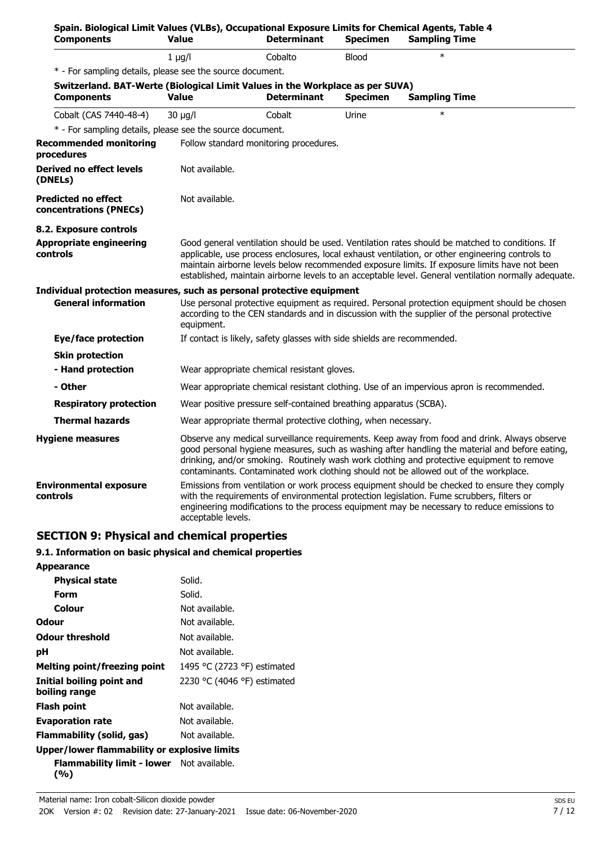| Spain. Biological Limit Values (VLBs), Occupational Exposure Limits for Chemical Agents, Table 4<br><b>Components</b> | <b>Value</b>       | <b>Determinant</b>                                                                                                                                                                                                                                                                                                                                                                  | <b>Specimen</b> | <b>Sampling Time</b>                                                                                                                                                                                                                                                                                                                                                                                      |  |
|-----------------------------------------------------------------------------------------------------------------------|--------------------|-------------------------------------------------------------------------------------------------------------------------------------------------------------------------------------------------------------------------------------------------------------------------------------------------------------------------------------------------------------------------------------|-----------------|-----------------------------------------------------------------------------------------------------------------------------------------------------------------------------------------------------------------------------------------------------------------------------------------------------------------------------------------------------------------------------------------------------------|--|
|                                                                                                                       | $1 \mu q/l$        | Cobalto                                                                                                                                                                                                                                                                                                                                                                             | <b>Blood</b>    | $\ast$                                                                                                                                                                                                                                                                                                                                                                                                    |  |
| * - For sampling details, please see the source document.                                                             |                    |                                                                                                                                                                                                                                                                                                                                                                                     |                 |                                                                                                                                                                                                                                                                                                                                                                                                           |  |
| Switzerland. BAT-Werte (Biological Limit Values in the Workplace as per SUVA)                                         |                    |                                                                                                                                                                                                                                                                                                                                                                                     |                 |                                                                                                                                                                                                                                                                                                                                                                                                           |  |
| <b>Components</b>                                                                                                     | <b>Value</b>       | <b>Determinant</b>                                                                                                                                                                                                                                                                                                                                                                  | <b>Specimen</b> | <b>Sampling Time</b>                                                                                                                                                                                                                                                                                                                                                                                      |  |
| Cobalt (CAS 7440-48-4)                                                                                                | $30 \mu q/l$       | Cobalt                                                                                                                                                                                                                                                                                                                                                                              | Urine           | $\ast$                                                                                                                                                                                                                                                                                                                                                                                                    |  |
| * - For sampling details, please see the source document.                                                             |                    |                                                                                                                                                                                                                                                                                                                                                                                     |                 |                                                                                                                                                                                                                                                                                                                                                                                                           |  |
| <b>Recommended monitoring</b><br>procedures                                                                           |                    | Follow standard monitoring procedures.                                                                                                                                                                                                                                                                                                                                              |                 |                                                                                                                                                                                                                                                                                                                                                                                                           |  |
| Derived no effect levels<br>(DNELs)                                                                                   | Not available.     |                                                                                                                                                                                                                                                                                                                                                                                     |                 |                                                                                                                                                                                                                                                                                                                                                                                                           |  |
| <b>Predicted no effect</b><br>concentrations (PNECs)                                                                  | Not available.     |                                                                                                                                                                                                                                                                                                                                                                                     |                 |                                                                                                                                                                                                                                                                                                                                                                                                           |  |
| 8.2. Exposure controls                                                                                                |                    |                                                                                                                                                                                                                                                                                                                                                                                     |                 |                                                                                                                                                                                                                                                                                                                                                                                                           |  |
| <b>Appropriate engineering</b><br>controls                                                                            |                    |                                                                                                                                                                                                                                                                                                                                                                                     |                 | Good general ventilation should be used. Ventilation rates should be matched to conditions. If<br>applicable, use process enclosures, local exhaust ventilation, or other engineering controls to<br>maintain airborne levels below recommended exposure limits. If exposure limits have not been<br>established, maintain airborne levels to an acceptable level. General ventilation normally adequate. |  |
| Individual protection measures, such as personal protective equipment                                                 |                    |                                                                                                                                                                                                                                                                                                                                                                                     |                 |                                                                                                                                                                                                                                                                                                                                                                                                           |  |
| <b>General information</b>                                                                                            | equipment.         |                                                                                                                                                                                                                                                                                                                                                                                     |                 | Use personal protective equipment as required. Personal protection equipment should be chosen<br>according to the CEN standards and in discussion with the supplier of the personal protective                                                                                                                                                                                                            |  |
| <b>Eye/face protection</b>                                                                                            |                    | If contact is likely, safety glasses with side shields are recommended.                                                                                                                                                                                                                                                                                                             |                 |                                                                                                                                                                                                                                                                                                                                                                                                           |  |
| <b>Skin protection</b>                                                                                                |                    |                                                                                                                                                                                                                                                                                                                                                                                     |                 |                                                                                                                                                                                                                                                                                                                                                                                                           |  |
| - Hand protection                                                                                                     |                    | Wear appropriate chemical resistant gloves.                                                                                                                                                                                                                                                                                                                                         |                 |                                                                                                                                                                                                                                                                                                                                                                                                           |  |
| - Other                                                                                                               |                    | Wear appropriate chemical resistant clothing. Use of an impervious apron is recommended.                                                                                                                                                                                                                                                                                            |                 |                                                                                                                                                                                                                                                                                                                                                                                                           |  |
| <b>Respiratory protection</b>                                                                                         |                    | Wear positive pressure self-contained breathing apparatus (SCBA).                                                                                                                                                                                                                                                                                                                   |                 |                                                                                                                                                                                                                                                                                                                                                                                                           |  |
| <b>Thermal hazards</b>                                                                                                |                    | Wear appropriate thermal protective clothing, when necessary.                                                                                                                                                                                                                                                                                                                       |                 |                                                                                                                                                                                                                                                                                                                                                                                                           |  |
| <b>Hygiene measures</b>                                                                                               |                    | Observe any medical surveillance requirements. Keep away from food and drink. Always observe<br>good personal hygiene measures, such as washing after handling the material and before eating,<br>drinking, and/or smoking. Routinely wash work clothing and protective equipment to remove<br>contaminants. Contaminated work clothing should not be allowed out of the workplace. |                 |                                                                                                                                                                                                                                                                                                                                                                                                           |  |
| <b>Environmental exposure</b><br>controls                                                                             | acceptable levels. |                                                                                                                                                                                                                                                                                                                                                                                     |                 | Emissions from ventilation or work process equipment should be checked to ensure they comply<br>with the requirements of environmental protection legislation. Fume scrubbers, filters or<br>engineering modifications to the process equipment may be necessary to reduce emissions to                                                                                                                   |  |

## **SECTION 9: Physical and chemical properties**

## **9.1. Information on basic physical and chemical properties**

| <b>Appearance</b>                                         |                             |
|-----------------------------------------------------------|-----------------------------|
| <b>Physical state</b>                                     | Solid.                      |
| Form                                                      | Solid.                      |
| Colour                                                    | Not available.              |
| Odour                                                     | Not available.              |
| <b>Odour threshold</b>                                    | Not available.              |
| рH                                                        | Not available.              |
| Melting point/freezing point                              | 1495 °C (2723 °F) estimated |
| Initial boiling point and<br>boiling range                | 2230 °C (4046 °F) estimated |
| Flash point                                               | Not available.              |
| <b>Evaporation rate</b>                                   | Not available.              |
| Flammability (solid, gas)                                 | Not available.              |
| Upper/lower flammability or explosive limits              |                             |
| <b>Flammability limit - lower</b> Not available.<br>(9/0) |                             |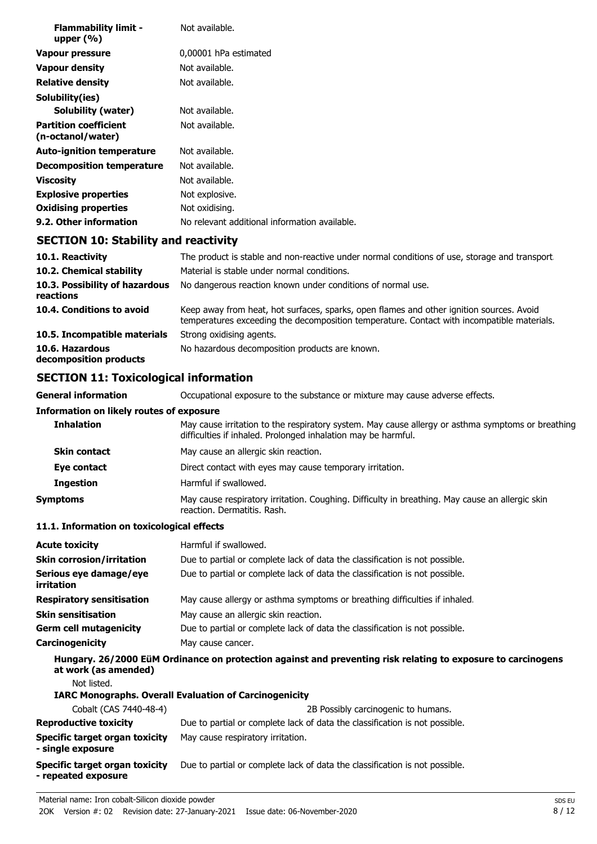| <b>Flammability limit -</b><br>upper $(\% )$      | Not available.                                |
|---------------------------------------------------|-----------------------------------------------|
| Vapour pressure                                   | 0,00001 hPa estimated                         |
| <b>Vapour density</b>                             | Not available.                                |
| <b>Relative density</b>                           | Not available.                                |
| Solubility(ies)                                   |                                               |
| Solubility (water)                                | Not available.                                |
| <b>Partition coefficient</b><br>(n-octanol/water) | Not available.                                |
| <b>Auto-ignition temperature</b>                  | Not available.                                |
| <b>Decomposition temperature</b>                  | Not available.                                |
| <b>Viscosity</b>                                  | Not available.                                |
| <b>Explosive properties</b>                       | Not explosive.                                |
| <b>Oxidising properties</b>                       | Not oxidising.                                |
| 9.2. Other information                            | No relevant additional information available. |
| <b>SECTION 10: Stability and reactivity</b>       |                                               |

| 10.1. Reactivity                            | The product is stable and non-reactive under normal conditions of use, storage and transport.                                                                                          |
|---------------------------------------------|----------------------------------------------------------------------------------------------------------------------------------------------------------------------------------------|
| 10.2. Chemical stability                    | Material is stable under normal conditions.                                                                                                                                            |
| 10.3. Possibility of hazardous<br>reactions | No dangerous reaction known under conditions of normal use.                                                                                                                            |
| 10.4. Conditions to avoid                   | Keep away from heat, hot surfaces, sparks, open flames and other ignition sources. Avoid<br>temperatures exceeding the decomposition temperature. Contact with incompatible materials. |
| 10.5. Incompatible materials                | Strong oxidising agents.                                                                                                                                                               |
| 10.6. Hazardous<br>decomposition products   | No hazardous decomposition products are known.                                                                                                                                         |

## **SECTION 11: Toxicological information**

**General information CCCUPATION** Occupational exposure to the substance or mixture may cause adverse effects. **Information on likely routes of exposure Inhalation** May cause irritation to the respiratory system. May cause allergy or asthma symptoms or breathing difficulties if inhaled. Prolonged inhalation may be harmful. **Skin contact** May cause an allergic skin reaction. **Eye contact** Direct contact with eyes may cause temporary irritation. **Ingestion** Harmful if swallowed. **Symptoms** May cause respiratory irritation. Coughing. Difficulty in breathing. May cause an allergic skin reaction. Dermatitis. Rash.

#### **11.1. Information on toxicological effects**

| <b>Acute toxicity</b>                                        | Harmful if swallowed.                                                                                        |
|--------------------------------------------------------------|--------------------------------------------------------------------------------------------------------------|
| <b>Skin corrosion/irritation</b>                             | Due to partial or complete lack of data the classification is not possible.                                  |
| Serious eye damage/eye<br>irritation                         | Due to partial or complete lack of data the classification is not possible.                                  |
| <b>Respiratory sensitisation</b>                             | May cause allergy or asthma symptoms or breathing difficulties if inhaled.                                   |
| <b>Skin sensitisation</b>                                    | May cause an allergic skin reaction.                                                                         |
| <b>Germ cell mutagenicity</b>                                | Due to partial or complete lack of data the classification is not possible.                                  |
| <b>Carcinogenicity</b>                                       | May cause cancer.                                                                                            |
| at work (as amended)                                         | Hungary. 26/2000 EüM Ordinance on protection against and preventing risk relating to exposure to carcinogens |
| Not listed.                                                  |                                                                                                              |
|                                                              | <b>IARC Monographs. Overall Evaluation of Carcinogenicity</b>                                                |
| Cobalt (CAS 7440-48-4)                                       | 2B Possibly carcinogenic to humans.                                                                          |
| <b>Reproductive toxicity</b>                                 | Due to partial or complete lack of data the classification is not possible.                                  |
| Specific target organ toxicity<br>- single exposure          | May cause respiratory irritation.                                                                            |
| <b>Specific target organ toxicity</b><br>- repeated exposure | Due to partial or complete lack of data the classification is not possible.                                  |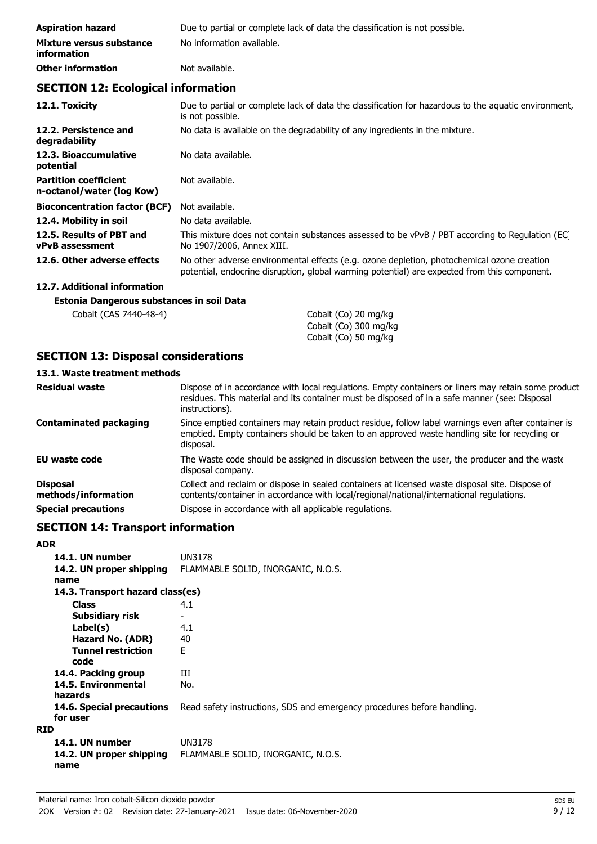| <b>Aspiration hazard</b>                       | Due to partial or complete lack of data the classification is not possible. |
|------------------------------------------------|-----------------------------------------------------------------------------|
| Mixture versus substance<br><i>information</i> | No information available.                                                   |
| <b>Other information</b>                       | Not available.                                                              |

## **SECTION 12: Ecological information**

| 12.1. Toxicity                                            | Due to partial or complete lack of data the classification for hazardous to the aquatic environment,<br>is not possible.                                                                   |
|-----------------------------------------------------------|--------------------------------------------------------------------------------------------------------------------------------------------------------------------------------------------|
| 12.2. Persistence and<br>degradability                    | No data is available on the degradability of any ingredients in the mixture.                                                                                                               |
| 12.3. Bioaccumulative<br>potential                        | No data available.                                                                                                                                                                         |
| <b>Partition coefficient</b><br>n-octanol/water (log Kow) | Not available.                                                                                                                                                                             |
| <b>Bioconcentration factor (BCF)</b>                      | Not available.                                                                                                                                                                             |
| 12.4. Mobility in soil                                    | No data available.                                                                                                                                                                         |
| 12.5. Results of PBT and<br><b>vPvB</b> assessment        | This mixture does not contain substances assessed to be vPvB / PBT according to Regulation (EC)<br>No 1907/2006, Annex XIII.                                                               |
| 12.6. Other adverse effects                               | No other adverse environmental effects (e.g. ozone depletion, photochemical ozone creation<br>potential, endocrine disruption, global warming potential) are expected from this component. |

## **12.7. Additional information**

## **Estonia Dangerous substances in soil Data**

| Cobalt (CAS 7440-48-4) | Cobalt (Co) 20 mg/kg  |
|------------------------|-----------------------|
|                        | Cobalt (Co) 300 mg/kg |
|                        | Cobalt (Co) 50 mg/kg  |

## **SECTION 13: Disposal considerations**

### **13.1. Waste treatment methods**

| <b>Residual waste</b>                  | Dispose of in accordance with local regulations. Empty containers or liners may retain some product<br>residues. This material and its container must be disposed of in a safe manner (see: Disposal<br>instructions). |
|----------------------------------------|------------------------------------------------------------------------------------------------------------------------------------------------------------------------------------------------------------------------|
| <b>Contaminated packaging</b>          | Since emptied containers may retain product residue, follow label warnings even after container is<br>emptied. Empty containers should be taken to an approved waste handling site for recycling or<br>disposal.       |
| EU waste code                          | The Waste code should be assigned in discussion between the user, the producer and the waste<br>disposal company.                                                                                                      |
| <b>Disposal</b><br>methods/information | Collect and reclaim or dispose in sealed containers at licensed waste disposal site. Dispose of<br>contents/container in accordance with local/regional/national/international regulations.                            |
| <b>Special precautions</b>             | Dispose in accordance with all applicable regulations.                                                                                                                                                                 |

## **SECTION 14: Transport information**

| ADR |       |  |
|-----|-------|--|
|     | 14.1. |  |
|     | 1 A 7 |  |

| 14.1. UN number<br>14.2. UN proper shipping<br>name | UN3178<br>FLAMMABLE SOLID, INORGANIC, N.O.S.                            |
|-----------------------------------------------------|-------------------------------------------------------------------------|
| 14.3. Transport hazard class(es)                    |                                                                         |
| <b>Class</b>                                        | 4.1                                                                     |
| Subsidiary risk                                     |                                                                         |
| Label(s)                                            | 4.1                                                                     |
| Hazard No. (ADR)                                    | 40                                                                      |
| <b>Tunnel restriction</b><br>code                   | F                                                                       |
| 14.4. Packing group                                 | Ш                                                                       |
| 14.5. Environmental<br>hazards                      | No.                                                                     |
| <b>14.6. Special precautions</b><br>for user        | Read safety instructions, SDS and emergency procedures before handling. |
| <b>RID</b>                                          |                                                                         |
| 14.1. UN number<br>14.2. UN proper shipping<br>name | UN3178<br>FLAMMABLE SOLID, INORGANIC, N.O.S.                            |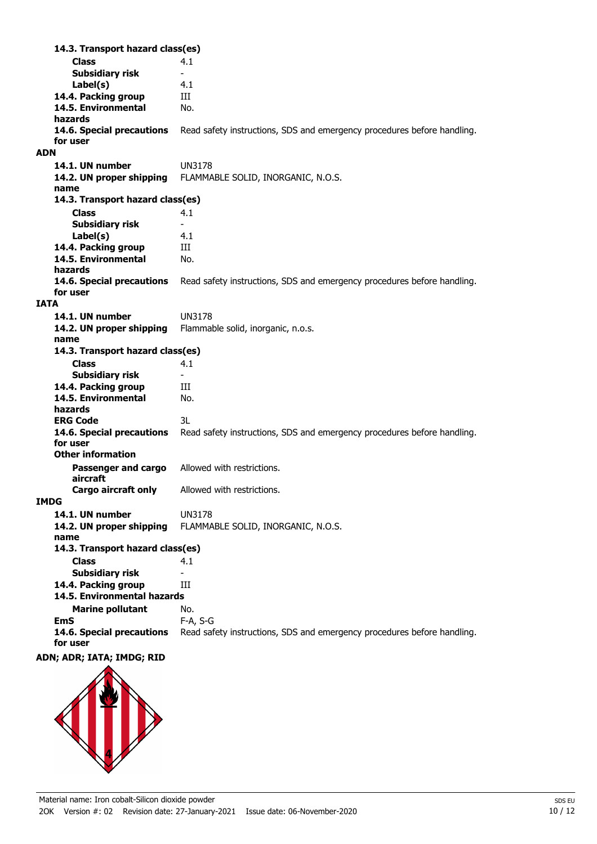**Class** 4.1 **14.3. Transport hazard class(es) Subsidiary risk Label(s)** 4.1 14.4. Packing group **III 14.5. Environmental** No. **hazards 14.6. Special precautions** Read safety instructions, SDS and emergency procedures before handling. **for user ADN 14.1. UN number** UN3178 **14.2. UN proper shipping** FLAMMABLE SOLID, INORGANIC, N.O.S. **name Class** 4.1 **14.3. Transport hazard class(es) Subsidiary risk Label(s)** 4.1 14.4. Packing group **III 14.5. Environmental** No. **hazards 14.6. Special precautions** Read safety instructions, SDS and emergency procedures before handling. **for user IATA 14.1. UN number** UN3178 **14.2. UN proper shipping** Flammable solid, inorganic, n.o.s. **name Class** 4.1 **14.3. Transport hazard class(es) Subsidiary risk** 14.4. Packing group **III 14.5. Environmental** No. **hazards ERG Code** 3L **14.6. Special precautions** Read safety instructions, SDS and emergency procedures before handling. **for user Passenger and cargo** Allowed with restrictions. **aircraft Other information Cargo aircraft only** Allowed with restrictions. **IMDG 14.1. UN number** UN3178 **14.2. UN proper shipping** FLAMMABLE SOLID, INORGANIC, N.O.S. **name Class** 4.1 **14.3. Transport hazard class(es) Subsidiary risk 14.4. Packing group III Marine pollutant** No. **14.5. Environmental hazards EmS** F-A, S-G **14.6. Special precautions** Read safety instructions, SDS and emergency procedures before handling. **for user**

## **ADN; ADR; IATA; IMDG; RID**

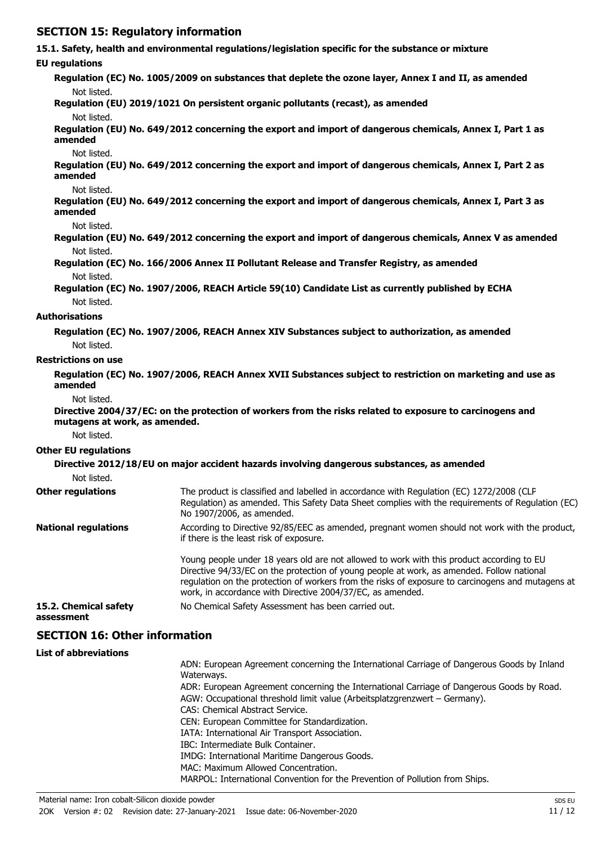## **SECTION 15: Regulatory information**

**15.1. Safety, health and environmental regulations/legislation specific for the substance or mixture**

#### **EU regulations**

**Regulation (EC) No. 1005/2009 on substances that deplete the ozone layer, Annex I and II, as amended** Not listed.

**Regulation (EU) 2019/1021 On persistent organic pollutants (recast), as amended**

Not listed.

**Regulation (EU) No. 649/2012 concerning the export and import of dangerous chemicals, Annex I, Part 1 as amended**

#### Not listed.

**Regulation (EU) No. 649/2012 concerning the export and import of dangerous chemicals, Annex I, Part 2 as amended**

#### Not listed.

**Regulation (EU) No. 649/2012 concerning the export and import of dangerous chemicals, Annex I, Part 3 as amended**

Not listed.

**Regulation (EU) No. 649/2012 concerning the export and import of dangerous chemicals, Annex V as amended** Not listed.

**Regulation (EC) No. 166/2006 Annex II Pollutant Release and Transfer Registry, as amended** Not listed.

**Regulation (EC) No. 1907/2006, REACH Article 59(10) Candidate List as currently published by ECHA** Not listed.

#### **Authorisations**

**Regulation (EC) No. 1907/2006, REACH Annex XIV Substances subject to authorization, as amended** Not listed.

#### **Restrictions on use**

**Regulation (EC) No. 1907/2006, REACH Annex XVII Substances subject to restriction on marketing and use as amended**

Not listed.

**Directive 2004/37/EC: on the protection of workers from the risks related to exposure to carcinogens and mutagens at work, as amended.**

Not listed.

#### **Other EU regulations**

| Not listed.                 | Directive 2012/18/EU on major accident hazards involving dangerous substances, as amended                                                                                                                                                                                                                                                                 |
|-----------------------------|-----------------------------------------------------------------------------------------------------------------------------------------------------------------------------------------------------------------------------------------------------------------------------------------------------------------------------------------------------------|
| <b>Other regulations</b>    | The product is classified and labelled in accordance with Regulation (EC) 1272/2008 (CLP<br>Regulation) as amended. This Safety Data Sheet complies with the requirements of Regulation (EC)<br>No 1907/2006, as amended.                                                                                                                                 |
| <b>National regulations</b> | According to Directive 92/85/EEC as amended, pregnant women should not work with the product,<br>if there is the least risk of exposure.                                                                                                                                                                                                                  |
|                             | Young people under 18 years old are not allowed to work with this product according to EU<br>Directive 94/33/EC on the protection of young people at work, as amended. Follow national<br>regulation on the protection of workers from the risks of exposure to carcinogens and mutagens at<br>work, in accordance with Directive 2004/37/EC, as amended. |
| 15.2. Chemical safety       | No Chemical Safety Assessment has been carried out.                                                                                                                                                                                                                                                                                                       |

**assessment**

## **SECTION 16: Other information**

#### **List of abbreviations**

ADN: European Agreement concerning the International Carriage of Dangerous Goods by Inland Waterways. ADR: European Agreement concerning the International Carriage of Dangerous Goods by Road. AGW: Occupational threshold limit value (Arbeitsplatzgrenzwert – Germany). CAS: Chemical Abstract Service. CEN: European Committee for Standardization. IATA: International Air Transport Association. IBC: Intermediate Bulk Container. IMDG: International Maritime Dangerous Goods. MAC: Maximum Allowed Concentration. MARPOL: International Convention for the Prevention of Pollution from Ships.